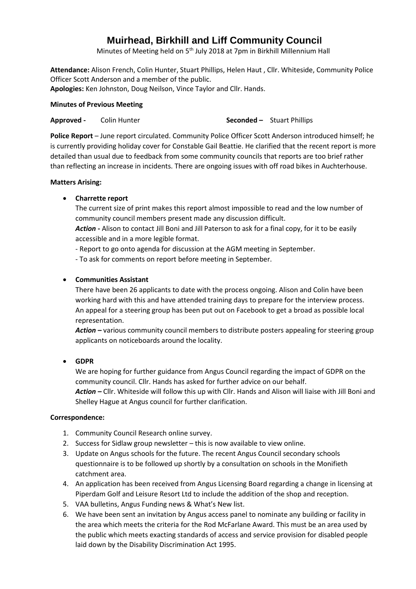# **Muirhead, Birkhill and Liff Community Council**

Minutes of Meeting held on 5<sup>th</sup> July 2018 at 7pm in Birkhill Millennium Hall

**Attendance:** Alison French, Colin Hunter, Stuart Phillips, Helen Haut , Cllr. Whiteside, Community Police Officer Scott Anderson and a member of the public.

**Apologies:** Ken Johnston, Doug Neilson, Vince Taylor and Cllr. Hands.

## **Minutes of Previous Meeting**

**Approved -** Colin Hunter **Seconded -** Stuart Phillips

**Police Report** – June report circulated. Community Police Officer Scott Anderson introduced himself; he is currently providing holiday cover for Constable Gail Beattie. He clarified that the recent report is more detailed than usual due to feedback from some community councils that reports are too brief rather than reflecting an increase in incidents. There are ongoing issues with off road bikes in Auchterhouse.

## **Matters Arising:**

# **Charrette report**

The current size of print makes this report almost impossible to read and the low number of community council members present made any discussion difficult.

*Action* **-** Alison to contact Jill Boni and Jill Paterson to ask for a final copy, for it to be easily accessible and in a more legible format.

- Report to go onto agenda for discussion at the AGM meeting in September.

- To ask for comments on report before meeting in September.

# **Communities Assistant**

There have been 26 applicants to date with the process ongoing. Alison and Colin have been working hard with this and have attended training days to prepare for the interview process. An appeal for a steering group has been put out on Facebook to get a broad as possible local representation.

*Action –* various community council members to distribute posters appealing for steering group applicants on noticeboards around the locality.

**GDPR**

We are hoping for further guidance from Angus Council regarding the impact of GDPR on the community council. Cllr. Hands has asked for further advice on our behalf.

*Action –* Cllr. Whiteside will follow this up with Cllr. Hands and Alison will liaise with Jill Boni and Shelley Hague at Angus council for further clarification.

## **Correspondence:**

- 1. Community Council Research online survey.
- 2. Success for Sidlaw group newsletter this is now available to view online.
- 3. Update on Angus schools for the future. The recent Angus Council secondary schools questionnaire is to be followed up shortly by a consultation on schools in the Monifieth catchment area.
- 4. An application has been received from Angus Licensing Board regarding a change in licensing at Piperdam Golf and Leisure Resort Ltd to include the addition of the shop and reception.
- 5. VAA bulletins, Angus Funding news & What's New list.
- 6. We have been sent an invitation by Angus access panel to nominate any building or facility in the area which meets the criteria for the Rod McFarlane Award. This must be an area used by the public which meets exacting standards of access and service provision for disabled people laid down by the Disability Discrimination Act 1995.